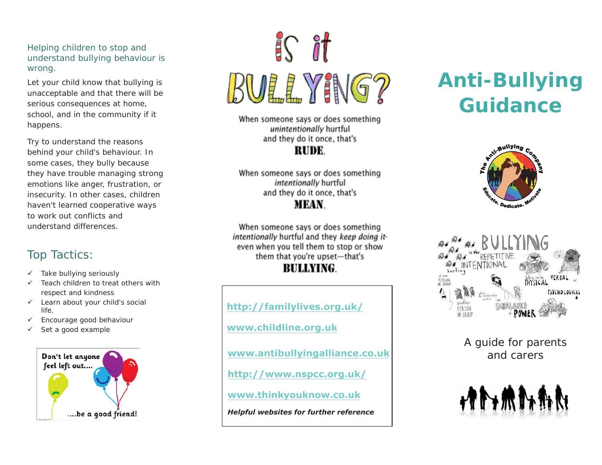Helping children to stop and understand bullying behaviour is wrong.

Let your child know that bullying is unacceptable and that there will be serious consequences at home, school, and in the community if it happens.

Try to understand the reasons behind your child's behaviour. In some cases, they bully because they have trouble managing strong emotions like anger, frustration, or insecurity. In other cases, children haven't learned cooperative ways to work out conflicts and understand differences.

## Top Tactics:

- $\checkmark$  Take bullying seriously
- $\checkmark$  Teach children to treat others with respect and kindness
- $\checkmark$  Learn about your child's social life.
- $\checkmark$  Encourage good behaviour
- $\checkmark$  Set a good example



# $\sqrt{16}$ **BULLYING?**

When someone says or does something unintentionally hurtful and they do it once, that's RUDE.

When someone says or does something intentionally hurtful and they do it once, that's **MEAN.** 

When someone says or does something intentionally hurtful and they keep doing iteven when you tell them to stop or show them that you're upset-that's

### **BULLYING.**

**[http://familylives.o](http://www.childline.org.uk/)rg.uk/ [www.childline.org.uk](http://www.bullying.co.uk/advice-for-parents/) [www.antibullyingalliance.co](http://www.connectsafely.org/guides-2/).uk [http://www.nspcc](http://www.nspcc.org.uk/).org.uk/ www.thinkyouknow.co.uk** *Helpful websites for further reference* 

# **Anti-Bullying Guidance**





A guide for parents and carers